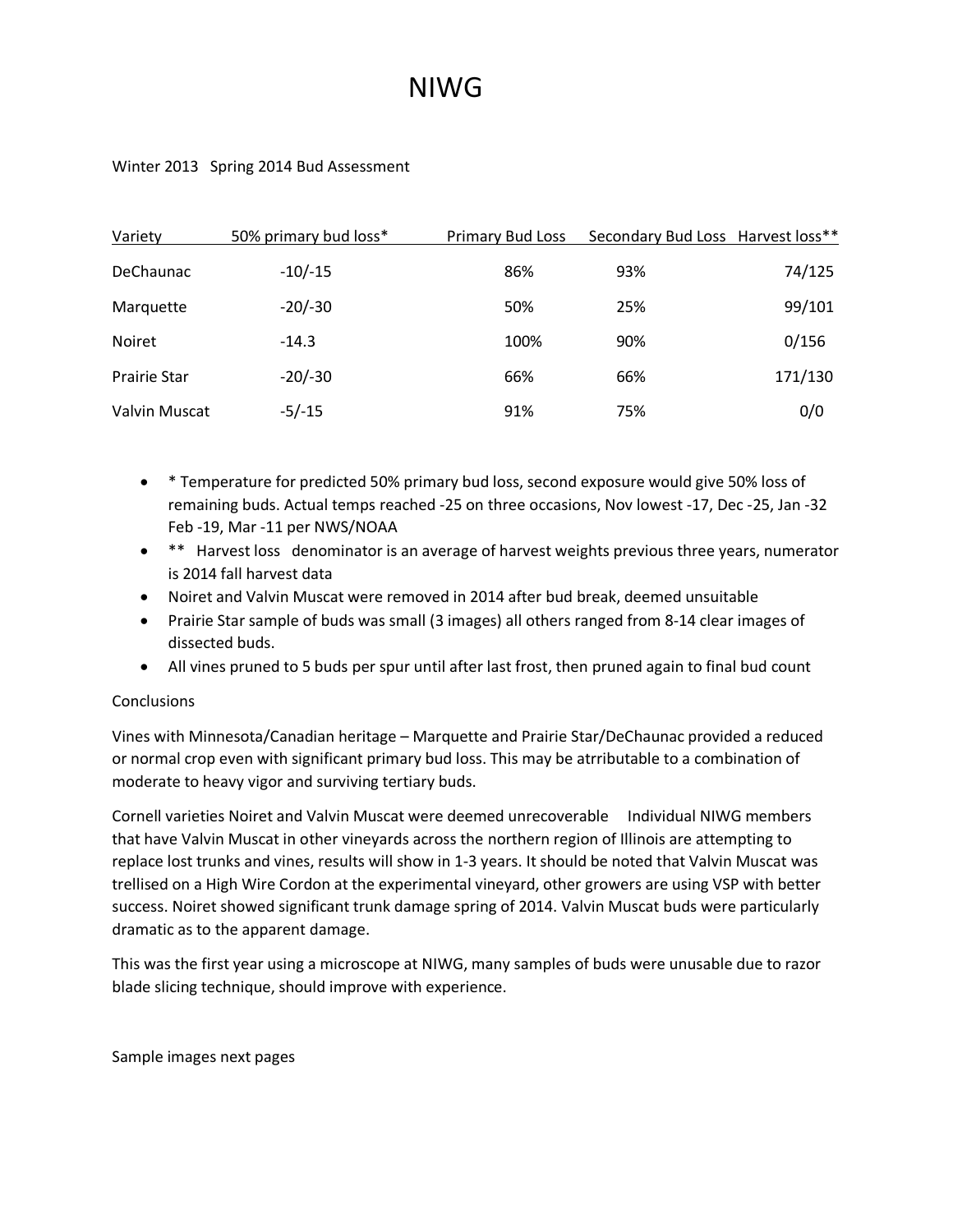## NIWG

## Winter 2013 Spring 2014 Bud Assessment

| Variety             | 50% primary bud loss* | <b>Primary Bud Loss</b> | Secondary Bud Loss Harvest loss** |         |
|---------------------|-----------------------|-------------------------|-----------------------------------|---------|
| <b>DeChaunac</b>    | $-10/-15$             | 86%                     | 93%                               | 74/125  |
| Marquette           | $-20/-30$             | 50%                     | 25%                               | 99/101  |
| Noiret              | $-14.3$               | 100%                    | 90%                               | 0/156   |
| <b>Prairie Star</b> | $-20/-30$             | 66%                     | 66%                               | 171/130 |
| Valvin Muscat       | $-5/-15$              | 91%                     | 75%                               | 0/0     |

- \* Temperature for predicted 50% primary bud loss, second exposure would give 50% loss of remaining buds. Actual temps reached -25 on three occasions, Nov lowest -17, Dec -25, Jan -32 Feb -19, Mar -11 per NWS/NOAA
- \*\* Harvest loss denominator is an average of harvest weights previous three years, numerator is 2014 fall harvest data
- Noiret and Valvin Muscat were removed in 2014 after bud break, deemed unsuitable
- Prairie Star sample of buds was small (3 images) all others ranged from 8-14 clear images of dissected buds.
- All vines pruned to 5 buds per spur until after last frost, then pruned again to final bud count

## **Conclusions**

Vines with Minnesota/Canadian heritage – Marquette and Prairie Star/DeChaunac provided a reduced or normal crop even with significant primary bud loss. This may be atrributable to a combination of moderate to heavy vigor and surviving tertiary buds.

Cornell varieties Noiret and Valvin Muscat were deemed unrecoverable Individual NIWG members that have Valvin Muscat in other vineyards across the northern region of Illinois are attempting to replace lost trunks and vines, results will show in 1-3 years. It should be noted that Valvin Muscat was trellised on a High Wire Cordon at the experimental vineyard, other growers are using VSP with better success. Noiret showed significant trunk damage spring of 2014. Valvin Muscat buds were particularly dramatic as to the apparent damage.

This was the first year using a microscope at NIWG, many samples of buds were unusable due to razor blade slicing technique, should improve with experience.

Sample images next pages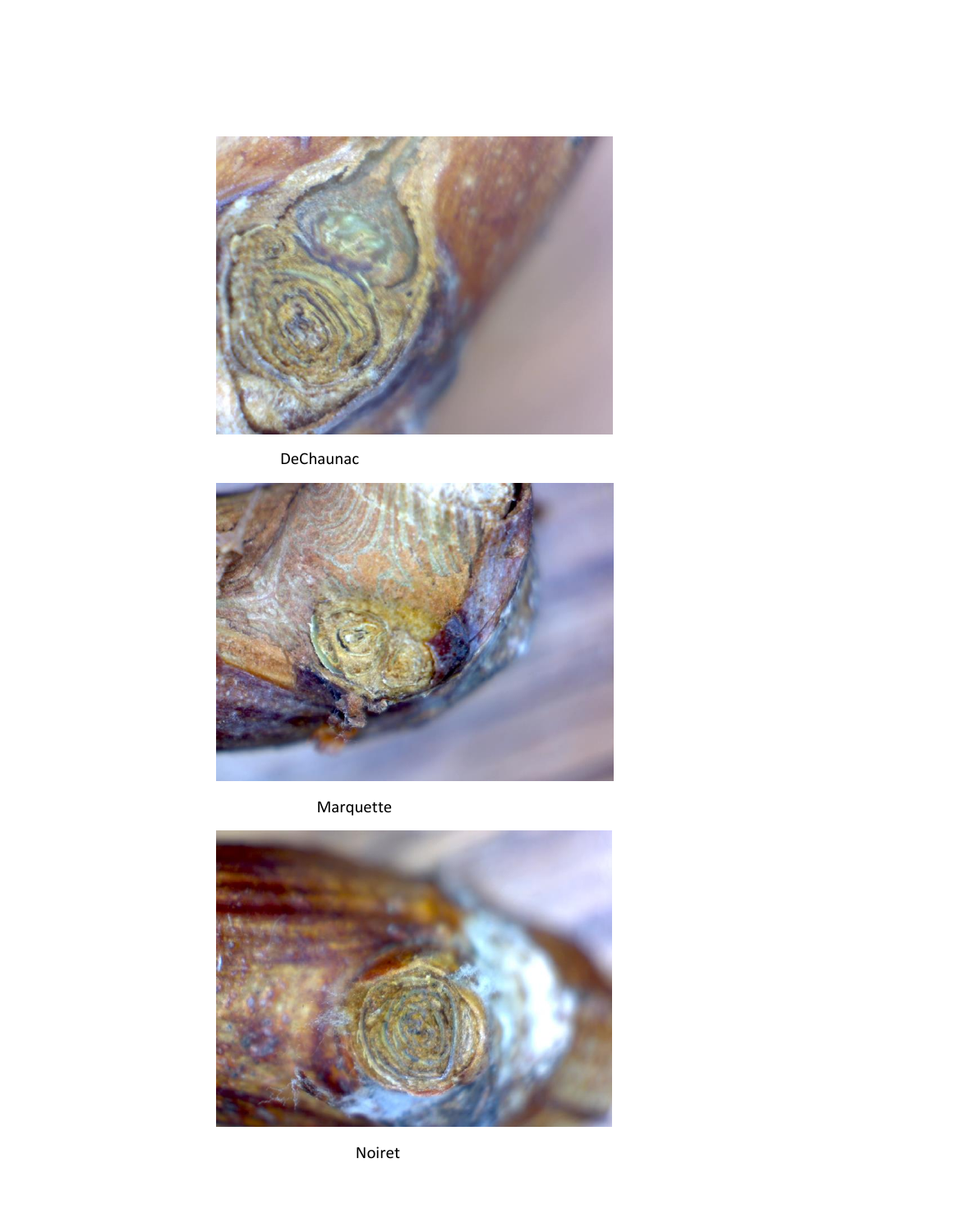

DeChaunac



Marquette



Noiret